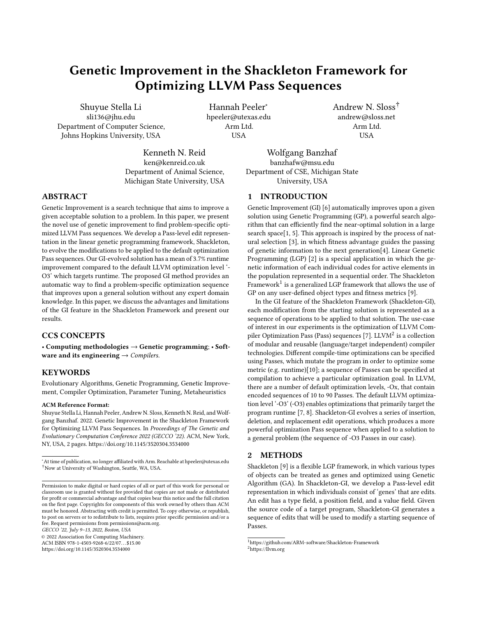# Genetic Improvement in the Shackleton Framework for Optimizing LLVM Pass Sequences

Shuyue Stella Li sli136@jhu.edu Department of Computer Science, Johns Hopkins University, USA

Hannah Peeler<sup>∗</sup> hpeeler@utexas.edu Arm Ltd. USA

Kenneth N. Reid ken@kenreid.co.uk Department of Animal Science, Michigan State University, USA

Wolfgang Banzhaf banzhafw@msu.edu Department of CSE, Michigan State University, USA

1 INTRODUCTION

ABSTRACT

Genetic Improvement is a search technique that aims to improve a given acceptable solution to a problem. In this paper, we present the novel use of genetic improvement to find problem-specific optimized LLVM Pass sequences. We develop a Pass-level edit representation in the linear genetic programming framework, Shackleton, to evolve the modifications to be applied to the default optimization Pass sequences. Our GI-evolved solution has a mean of 3.7% runtime improvement compared to the default LLVM optimization level '- O3' which targets runtime. The proposed GI method provides an automatic way to find a problem-specific optimization sequence that improves upon a general solution without any expert domain knowledge. In this paper, we discuss the advantages and limitations of the GI feature in the Shackleton Framework and present our results.

## CCS CONCEPTS

• Computing methodologies  $\rightarrow$  Genetic programming; • Software and its engineering  $\rightarrow$  Compilers.

# **KEYWORDS**

Evolutionary Algorithms, Genetic Programming, Genetic Improvement, Compiler Optimization, Parameter Tuning, Metaheuristics

#### ACM Reference Format:

Shuyue Stella Li, Hannah Peeler, Andrew N. Sloss, Kenneth N. Reid, and Wolfgang Banzhaf. 2022. Genetic Improvement in the Shackleton Framework for Optimizing LLVM Pass Sequences. In Proceedings of The Genetic and Evolutionary Computation Conference 2022 (GECCO '22). ACM, New York, NY, USA, [2](#page-1-0) pages.<https://doi.org/10.1145/3520304.3534000>

GECCO '22, July 9–13, 2022, Boston, USA

© 2022 Association for Computing Machinery.

ACM ISBN 978-1-4503-9268-6/22/07. . . \$15.00 <https://doi.org/10.1145/3520304.3534000>

rithm that can efficiently find the near-optimal solution in a large search space[\[1,](#page-1-2) [5\]](#page-1-3). This approach is inspired by the process of natural selection [\[3\]](#page-1-4), in which fitness advantage guides the passing of genetic information to the next generation[\[4\]](#page-1-5). Linear Genetic Programming (LGP) [\[2\]](#page-1-6) is a special application in which the genetic information of each individual codes for active elements in the population represented in a sequential order. The Shackleton Framework $^1$  $^1$  is a generalized LGP framework that allows the use of GP on any user-defined object types and fitness metrics [\[9\]](#page-1-7). In the GI feature of the Shackleton Framework (Shackleton-GI),

Genetic Improvement (GI) [\[6\]](#page-1-1) automatically improves upon a given solution using Genetic Programming (GP), a powerful search algo-

Andrew N. Sloss† andrew@sloss.net Arm Ltd. USA

each modification from the starting solution is represented as a sequence of operations to be applied to that solution. The use-case of interest in our experiments is the optimization of LLVM Com-piler Optimization Pass (Pass) sequences [\[7\]](#page-1-8). LLVM<sup>[2](#page-0-1)</sup> is a collection of modular and reusable (language/target independent) compiler technologies. Different compile-time optimizations can be specified using Passes, which mutate the program in order to optimize some metric (e.g. runtime)[\[10\]](#page-1-9); a sequence of Passes can be specified at compilation to achieve a particular optimization goal. In LLVM, there are a number of default optimization levels, -Ox, that contain encoded sequences of 10 to 90 Passes. The default LLVM optimization level '-O3' (-O3) enables optimizations that primarily target the program runtime [\[7,](#page-1-8) [8\]](#page-1-10). Shackleton-GI evolves a series of insertion, deletion, and replacement edit operations, which produces a more powerful optimization Pass sequence when applied to a solution to a general problem (the sequence of -O3 Passes in our case).

# 2 METHODS

Shackleton [\[9\]](#page-1-7) is a flexible LGP framework, in which various types of objects can be treated as genes and optimized using Genetic Algorithm (GA). In Shackleton-GI, we develop a Pass-level edit representation in which individuals consist of 'genes' that are edits. An edit has a type field, a position field, and a value field. Given the source code of a target program, Shackleton-GI generates a sequence of edits that will be used to modify a starting sequence of Passes.

<sup>∗</sup>At time of publication, no longer affiliated with Arm. Reachable at hpeeler@utexas.edu †Now at University of Washington, Seattle, WA, USA.

Permission to make digital or hard copies of all or part of this work for personal or classroom use is granted without fee provided that copies are not made or distributed for profit or commercial advantage and that copies bear this notice and the full citation on the first page. Copyrights for components of this work owned by others than ACM must be honored. Abstracting with credit is permitted. To copy otherwise, or republish, to post on servers or to redistribute to lists, requires prior specific permission and/or a fee. Request permissions from permissions@acm.org.

<span id="page-0-1"></span><span id="page-0-0"></span> $^1\rm{https://github.com/ARM-softmax/Shackleton-Framework}$ <sup>2</sup><https://llvm.org>